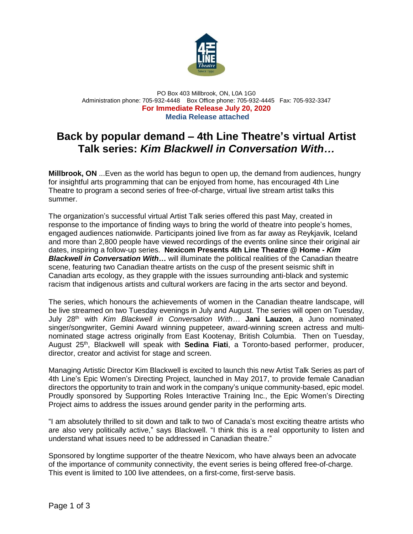

PO Box 403 Millbrook, ON, L0A 1G0 Administration phone: 705-932-4448 Box Office phone: 705-932-4445 Fax: 705-932-3347 **For Immediate Release July 20, 2020 Media Release attached**

# **Back by popular demand – 4th Line Theatre's virtual Artist Talk series:** *Kim Blackwell in Conversation With…*

**Millbrook, ON** ...Even as the world has begun to open up, the demand from audiences, hungry for insightful arts programming that can be enjoyed from home, has encouraged 4th Line Theatre to program a second series of free-of-charge, virtual live stream artist talks this summer.

The organization's successful virtual Artist Talk series offered this past May, created in response to the importance of finding ways to bring the world of theatre into people's homes, engaged audiences nationwide. Participants joined live from as far away as Reykjavik, Iceland and more than 2,800 people have viewed recordings of the events online since their original air dates, inspiring a follow-up series. **Nexicom Presents 4th Line Theatre @ Home -** *Kim Blackwell in Conversation With…* will illuminate the political realities of the Canadian theatre scene, featuring two Canadian theatre artists on the cusp of the present seismic shift in Canadian arts ecology, as they grapple with the issues surrounding anti-black and systemic racism that indigenous artists and cultural workers are facing in the arts sector and beyond.

The series, which honours the achievements of women in the Canadian theatre landscape, will be live streamed on two Tuesday evenings in July and August. The series will open on Tuesday, July 28th with *Kim Blackwell in Conversation With…* **Jani Lauzon**, a Juno nominated singer/songwriter, Gemini Award winning puppeteer, award-winning screen actress and multinominated stage actress originally from East Kootenay, British Columbia. Then on Tuesday, August 25<sup>th</sup>, Blackwell will speak with **Sedina Fiati**, a Toronto-based performer, producer, director, creator and activist for stage and screen.

Managing Artistic Director Kim Blackwell is excited to launch this new Artist Talk Series as part of 4th Line's Epic Women's Directing Project, launched in May 2017, to provide female Canadian directors the opportunity to train and work in the company's unique community-based, epic model. Proudly sponsored by Supporting Roles Interactive Training Inc., the Epic Women's Directing Project aims to address the issues around gender parity in the performing arts.

"I am absolutely thrilled to sit down and talk to two of Canada's most exciting theatre artists who are also very politically active," says Blackwell. "I think this is a real opportunity to listen and understand what issues need to be addressed in Canadian theatre."

Sponsored by longtime supporter of the theatre Nexicom, who have always been an advocate of the importance of community connectivity, the event series is being offered free-of-charge. This event is limited to 100 live attendees, on a first-come, first-serve basis.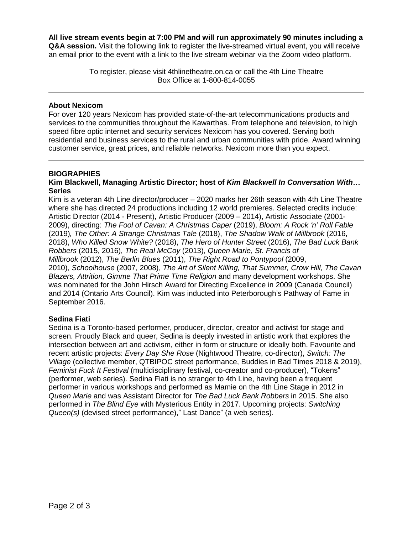**All live stream events begin at 7:00 PM and will run approximately 90 minutes including a Q&A session.** Visit the following link to register the live-streamed virtual event, you will receive an email prior to the event with a link to the live stream webinar via the Zoom video platform.

> To register, please visit 4thlinetheatre.on.ca or call the 4th Line Theatre Box Office at 1-800-814-0055

## **About Nexicom**

For over 120 years Nexicom has provided state-of-the-art telecommunications products and services to the communities throughout the Kawarthas. From telephone and television, to high speed fibre optic internet and security services Nexicom has you covered. Serving both residential and business services to the rural and urban communities with pride. Award winning customer service, great prices, and reliable networks. Nexicom more than you expect.

### **BIOGRAPHIES**

### **Kim Blackwell, Managing Artistic Director; host of** *Kim Blackwell In Conversation With***… Series**

Kim is a veteran 4th Line director/producer – 2020 marks her 26th season with 4th Line Theatre where she has directed 24 productions including 12 world premieres. Selected credits include: Artistic Director (2014 - Present), Artistic Producer (2009 – 2014), Artistic Associate (2001- 2009), directing: *The Fool of Cavan: A Christmas Caper* (2019), *Bloom: A Rock 'n' Roll Fable* (2019)*, The Other: A Strange Christmas Tale* (2018), *The Shadow Walk of Millbrook* (2016, 2018), *Who Killed Snow White?* (2018), *The Hero of Hunter Street* (2016), *The Bad Luck Bank Robbers* (2015, 2016), *The Real McCoy* (2013), *Queen Marie, St. Francis of Millbrook* (2012), *The Berlin Blues* (2011), *The Right Road to Pontypool* (2009, 2010), *Schoolhouse* (2007, 2008), *The Art of Silent Killing, That Summer, Crow Hill, The Cavan Blazers, Attrition, Gimme That Prime Time Religion* and many development workshops. She was nominated for the John Hirsch Award for Directing Excellence in 2009 (Canada Council) and 2014 (Ontario Arts Council). Kim was inducted into Peterborough's Pathway of Fame in September 2016.

# **Sedina Fiati**

Sedina is a Toronto-based performer, producer, director, creator and activist for stage and screen. Proudly Black and queer, Sedina is deeply invested in artistic work that explores the intersection between art and activism, either in form or structure or ideally both. Favourite and recent artistic projects: *Every Day She Rose* (Nightwood Theatre, co-director), *Switch: The Village* (collective member, QTBIPOC street performance, Buddies in Bad Times 2018 & 2019), *Feminist Fuck It Festival* (multidisciplinary festival, co-creator and co-producer), "Tokens" (performer, web series). Sedina Fiati is no stranger to 4th Line, having been a frequent performer in various workshops and performed as Mamie on the 4th Line Stage in 2012 in *Queen Marie* and was Assistant Director for *The Bad Luck Bank Robbers* in 2015. She also performed in *The Blind Eye* with Mysterious Entity in 2017. Upcoming projects: *Switching Queen(s)* (devised street performance)," Last Dance" (a web series).